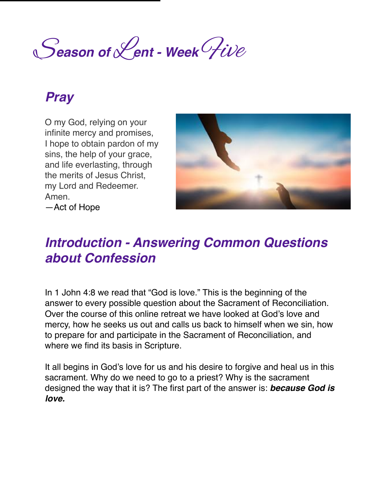S*eason of* L*ent - Week* Five

### *Pray*

O my God, relying on your infinite mercy and promises, I hope to obtain pardon of my sins, the help of your grace, and life everlasting, through the merits of Jesus Christ, my Lord and Redeemer. Amen. —Act of Hope



# *Introduction - Answering Common Questions about Confession*

In 1 John 4:8 we read that "God is love." This is the beginning of the answer to every possible question about the Sacrament of Reconciliation. Over the course of this online retreat we have looked at God's love and mercy, how he seeks us out and calls us back to himself when we sin, how to prepare for and participate in the Sacrament of Reconciliation, and where we find its basis in Scripture.

It all begins in God's love for us and his desire to forgive and heal us in this sacrament. Why do we need to go to a priest? Why is the sacrament designed the way that it is? The first part of the answer is: *because God is love.*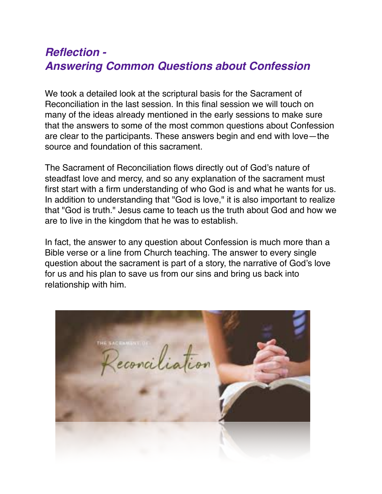#### *Reflection - Answering Common Questions about Confession*

We took a detailed look at the scriptural basis for the Sacrament of Reconciliation in the last session. In this final session we will touch on many of the ideas already mentioned in the early sessions to make sure that the answers to some of the most common questions about Confession are clear to the participants. These answers begin and end with love—the source and foundation of this sacrament.

The Sacrament of Reconciliation flows directly out of God's nature of steadfast love and mercy, and so any explanation of the sacrament must first start with a firm understanding of who God is and what he wants for us. In addition to understanding that "God is love," it is also important to realize that "God is truth." Jesus came to teach us the truth about God and how we are to live in the kingdom that he was to establish.

In fact, the answer to any question about Confession is much more than a Bible verse or a line from Church teaching. The answer to every single question about the sacrament is part of a story, the narrative of God's love for us and his plan to save us from our sins and bring us back into relationship with him.

conciliation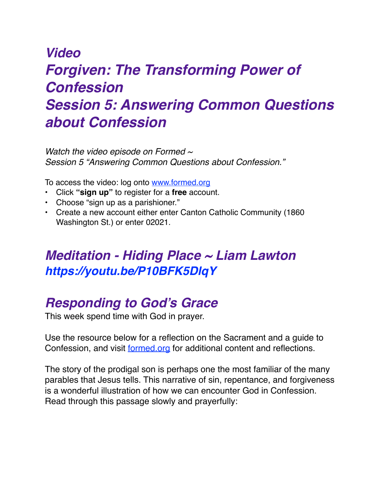# *Video Forgiven: The Transforming Power of Confession Session 5: Answering Common Questions about Confession*

*Watch the video episode on Formed ~ Session 5 "Answering Common Questions about Confession."* 

To access the video: log onto [www.formed.org](http://www.formed.org/)

- Click **"sign up"** to register for a **free** account.
- Choose "sign up as a parishioner."
- Create a new account either enter Canton Catholic Community (1860 Washington St.) or enter 02021.

### *Meditation - Hiding Place ~ Liam Lawton https://youtu.be/P10BFK5DlqY*

## *Responding to God's Grace*

This week spend time with God in prayer.

Use the resource below for a reflection on the Sacrament and a guide to Confession, and visit [formed.org](http://formed.org) for additional content and reflections.

The story of the prodigal son is perhaps one the most familiar of the many parables that Jesus tells. This narrative of sin, repentance, and forgiveness is a wonderful illustration of how we can encounter God in Confession. Read through this passage slowly and prayerfully: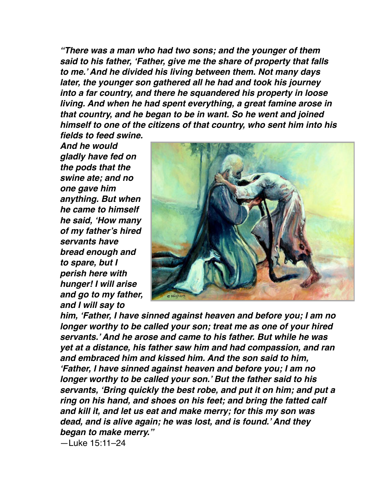*"There was a man who had two sons; and the younger of them said to his father, 'Father, give me the share of property that falls to me.' And he divided his living between them. Not many days later, the younger son gathered all he had and took his journey into a far country, and there he squandered his property in loose living. And when he had spent everything, a great famine arose in that country, and he began to be in want. So he went and joined himself to one of the citizens of that country, who sent him into his fields to feed swine.* 

*And he would gladly have fed on the pods that the swine ate; and no one gave him anything. But when he came to himself he said, 'How many of my father's hired servants have bread enough and to spare, but I perish here with hunger! I will arise and go to my father, and I will say to* 



*him, 'Father, I have sinned against heaven and before you; I am no longer worthy to be called your son; treat me as one of your hired servants.' And he arose and came to his father. But while he was yet at a distance, his father saw him and had compassion, and ran and embraced him and kissed him. And the son said to him, 'Father, I have sinned against heaven and before you; I am no longer worthy to be called your son.' But the father said to his servants, 'Bring quickly the best robe, and put it on him; and put a ring on his hand, and shoes on his feet; and bring the fatted calf and kill it, and let us eat and make merry; for this my son was dead, and is alive again; he was lost, and is found.' And they began to make merry."* 

—Luke 15:11–24